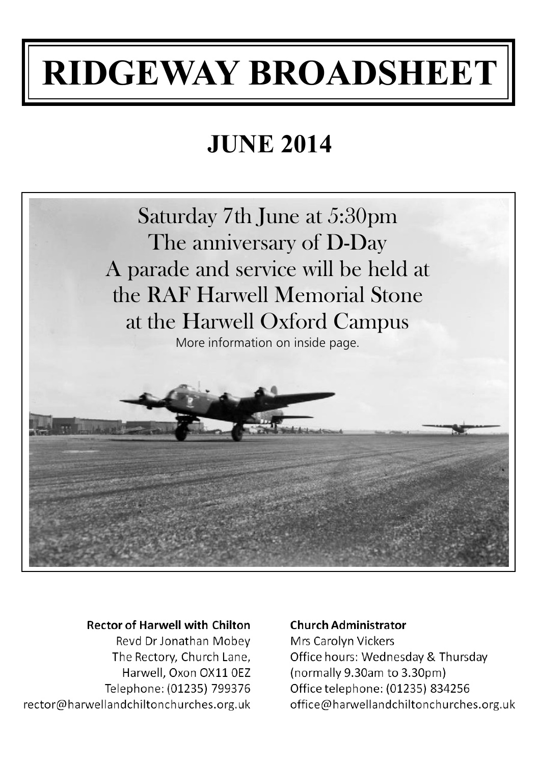# **RIDGEWAY BROADSHEET**

# **JUNE 2014**



#### **Rector of Harwell with Chilton**

Reyd Dr Jonathan Mobey The Rectory, Church Lane, Harwell, Oxon OX11 0EZ Telephone: (01235) 799376 rector@harwellandchiltonchurches.org.uk

#### **Church Administrator**

Mrs Carolyn Vickers Office hours: Wednesday & Thursday (normally 9.30am to 3.30pm) Office telephone: (01235) 834256 office@harwellandchiltonchurches.org.uk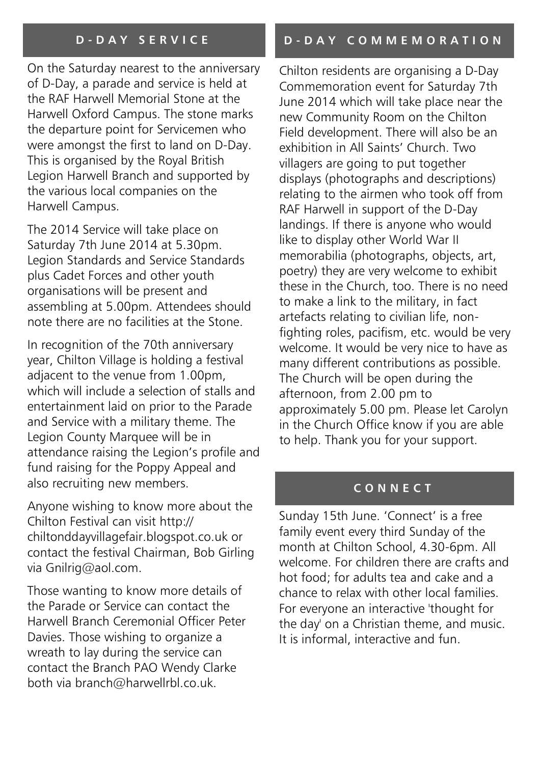#### **D - D A Y S E R V I C E**

On the Saturday nearest to the anniversary of D-Day, a parade and service is held at the RAF Harwell Memorial Stone at the Harwell Oxford Campus. The stone marks the departure point for Servicemen who were amongst the first to land on D-Day. This is organised by the Royal British Legion Harwell Branch and supported by the various local companies on the Harwell Campus.

The 2014 Service will take place on Saturday 7th June 2014 at 5.30pm. Legion Standards and Service Standards plus Cadet Forces and other youth organisations will be present and assembling at 5.00pm. Attendees should note there are no facilities at the Stone.

In recognition of the 70th anniversary year, Chilton Village is holding a festival adjacent to the venue from 1.00pm, which will include a selection of stalls and entertainment laid on prior to the Parade and Service with a military theme. The Legion County Marquee will be in attendance raising the Legion's profile and fund raising for the Poppy Appeal and also recruiting new members.

Anyone wishing to know more about the Chilton Festival can visit http:// chiltonddayvillagefair.blogspot.co.uk or contact the festival Chairman, Bob Girling via Gnilrig@aol.com.

Those wanting to know more details of the Parade or Service can contact the Harwell Branch Ceremonial Officer Peter Davies. Those wishing to organize a wreath to lay during the service can contact the Branch PAO Wendy Clarke both via branch@harwellrbl.co.uk.

#### **D - D A Y C O M M E M O R A T I O N**

Chilton residents are organising a D-Day Commemoration event for Saturday 7th June 2014 which will take place near the new Community Room on the Chilton Field development. There will also be an exhibition in All Saints' Church. Two villagers are going to put together displays (photographs and descriptions) relating to the airmen who took off from RAF Harwell in support of the D-Day landings. If there is anyone who would like to display other World War II memorabilia (photographs, objects, art, poetry) they are very welcome to exhibit these in the Church, too. There is no need to make a link to the military, in fact artefacts relating to civilian life, nonfighting roles, pacifism, etc. would be very welcome. It would be very nice to have as many different contributions as possible. The Church will be open during the afternoon, from 2.00 pm to approximately 5.00 pm. Please let Carolyn in the Church Office know if you are able to help. Thank you for your support.

#### **C O N N E C T**

Sunday 15th June. 'Connect' is a free family event every third Sunday of the month at Chilton School, 4.30-6pm. All welcome. For children there are crafts and hot food; for adults tea and cake and a chance to relax with other local families. For everyone an interactive 'thought for the day' on a Christian theme, and music. It is informal, interactive and fun.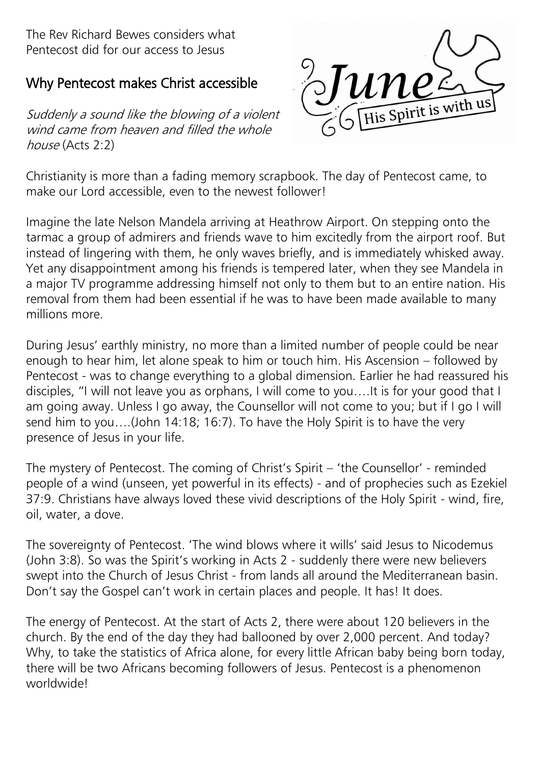The Rev Richard Bewes considers what Pentecost did for our access to Jesus

# Why Pentecost makes Christ accessible

Suddenly a sound like the blowing of a violent wind came from heaven and filled the whole  $house(Acts 2.2)$ 



Christianity is more than a fading memory scrapbook. The day of Pentecost came, to make our Lord accessible, even to the newest follower!

Imagine the late Nelson Mandela arriving at Heathrow Airport. On stepping onto the tarmac a group of admirers and friends wave to him excitedly from the airport roof. But instead of lingering with them, he only waves briefly, and is immediately whisked away. Yet any disappointment among his friends is tempered later, when they see Mandela in a major TV programme addressing himself not only to them but to an entire nation. His removal from them had been essential if he was to have been made available to many millions more.

During Jesus' earthly ministry, no more than a limited number of people could be near enough to hear him, let alone speak to him or touch him. His Ascension – followed by Pentecost - was to change everything to a global dimension. Earlier he had reassured his disciples, "I will not leave you as orphans, I will come to you….It is for your good that I am going away. Unless I go away, the Counsellor will not come to you; but if I go I will send him to you….(John 14:18; 16:7). To have the Holy Spirit is to have the very presence of Jesus in your life.

The mystery of Pentecost. The coming of Christ's Spirit – 'the Counsellor' - reminded people of a wind (unseen, yet powerful in its effects) - and of prophecies such as Ezekiel 37:9. Christians have always loved these vivid descriptions of the Holy Spirit - wind, fire, oil, water, a dove.

The sovereignty of Pentecost. 'The wind blows where it wills' said Jesus to Nicodemus (John 3:8). So was the Spirit's working in Acts 2 - suddenly there were new believers swept into the Church of Jesus Christ - from lands all around the Mediterranean basin. Don't say the Gospel can't work in certain places and people. It has! It does.

The energy of Pentecost. At the start of Acts 2, there were about 120 believers in the church. By the end of the day they had ballooned by over 2,000 percent. And today? Why, to take the statistics of Africa alone, for every little African baby being born today, there will be two Africans becoming followers of Jesus. Pentecost is a phenomenon worldwide!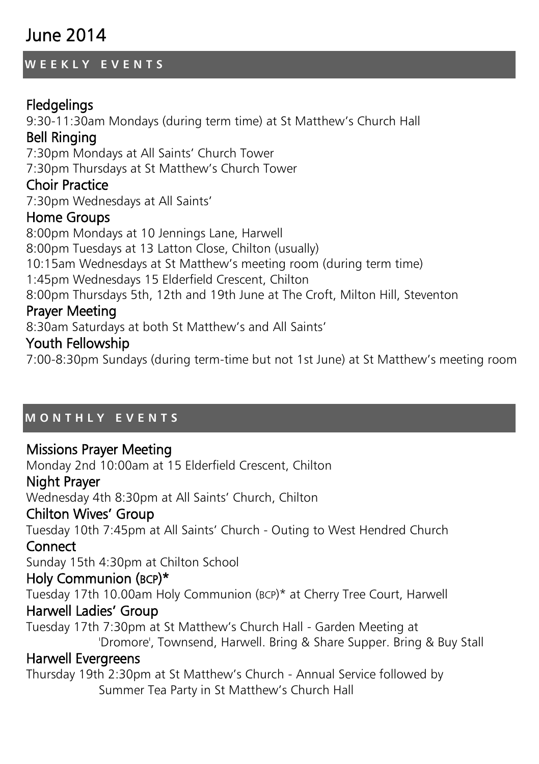# June 2014

# **W E E K L Y E V E N T S**

# **Fledgelings**

9:30-11:30am Mondays (during term time) at St Matthew's Church Hall Bell Ringing 7:30pm Mondays at All Saints' Church Tower

7:30pm Thursdays at St Matthew's Church Tower

# Choir Practice

7:30pm Wednesdays at All Saints'

# Home Groups

8:00pm Mondays at 10 Jennings Lane, Harwell 8:00pm Tuesdays at 13 Latton Close, Chilton (usually) 10:15am Wednesdays at St Matthew's meeting room (during term time) 1:45pm Wednesdays 15 Elderfield Crescent, Chilton 8:00pm Thursdays 5th, 12th and 19th June at The Croft, Milton Hill, Steventon

# Prayer Meeting

8:30am Saturdays at both St Matthew's and All Saints'

# Youth Fellowship

7:00-8:30pm Sundays (during term-time but not 1st June) at St Matthew's meeting room

# **M O N T H L Y E V E N T S**

# Missions Prayer Meeting

Monday 2nd 10:00am at 15 Elderfield Crescent, Chilton

# Night Prayer

Wednesday 4th 8:30pm at All Saints' Church, Chilton

# Chilton Wives' Group

Tuesday 10th 7:45pm at All Saints' Church - Outing to West Hendred Church

# **Connect**

Sunday 15th 4:30pm at Chilton School

# Holy Communion (BCP)\*

Tuesday 17th 10.00am Holy Communion (BCP)\* at Cherry Tree Court, Harwell

# Harwell Ladies' Group

Tuesday 17th 7:30pm at St Matthew's Church Hall - Garden Meeting at 'Dromore', Townsend, Harwell. Bring & Share Supper. Bring & Buy Stall

# Harwell Evergreens

Thursday 19th 2:30pm at St Matthew's Church - Annual Service followed by Summer Tea Party in St Matthew's Church Hall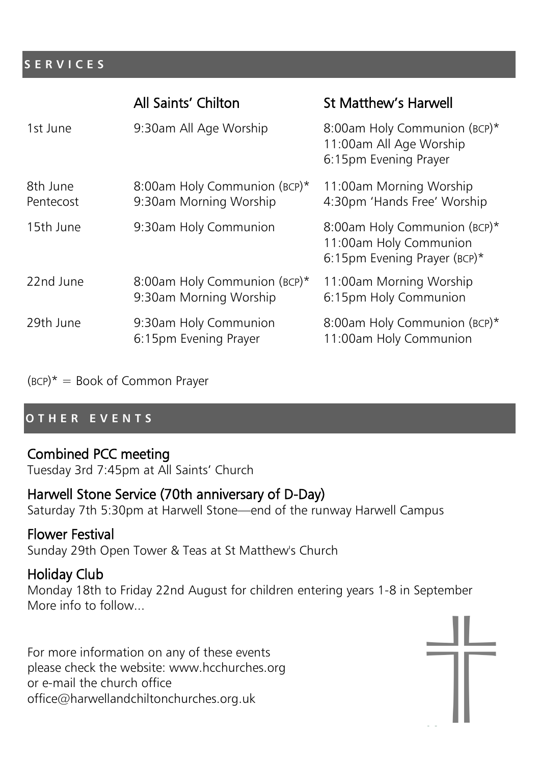#### **S E R V I C E S**

|                       | All Saints' Chilton                                    | <b>St Matthew's Harwell</b>                                                            |
|-----------------------|--------------------------------------------------------|----------------------------------------------------------------------------------------|
| 1st June              | 9:30am All Age Worship                                 | 8:00am Holy Communion (BCP)*<br>11:00am All Age Worship<br>6:15pm Evening Prayer       |
| 8th June<br>Pentecost | 8:00am Holy Communion (BCP)*<br>9:30am Morning Worship | 11:00am Morning Worship<br>4:30pm 'Hands Free' Worship                                 |
| 15th June             | 9:30am Holy Communion                                  | 8:00am Holy Communion (BCP)*<br>11:00am Holy Communion<br>6:15pm Evening Prayer (BCP)* |
| 22nd June             | 8:00am Holy Communion (BCP)*<br>9:30am Morning Worship | 11:00am Morning Worship<br>6:15pm Holy Communion                                       |
| 29th June             | 9:30am Holy Communion<br>6:15pm Evening Prayer         | 8:00am Holy Communion (BCP)*<br>11:00am Holy Communion                                 |

 $(BCP)^* = Book of Common Prayer$ 

#### **O T H E R E V E N T S**

# Combined PCC meeting

Tuesday 3rd 7:45pm at All Saints' Church

# Harwell Stone Service (70th anniversary of D-Day)

Saturday 7th 5:30pm at Harwell Stone—end of the runway Harwell Campus

# Flower Festival

Sunday 29th Open Tower & Teas at St Matthew's Church

# Holiday Club

Monday 18th to Friday 22nd August for children entering years 1-8 in September More info to follow...

For more information on any of these events please check the website: www.hcchurches.org or e-mail the church office office@harwellandchiltonchurches.org.uk

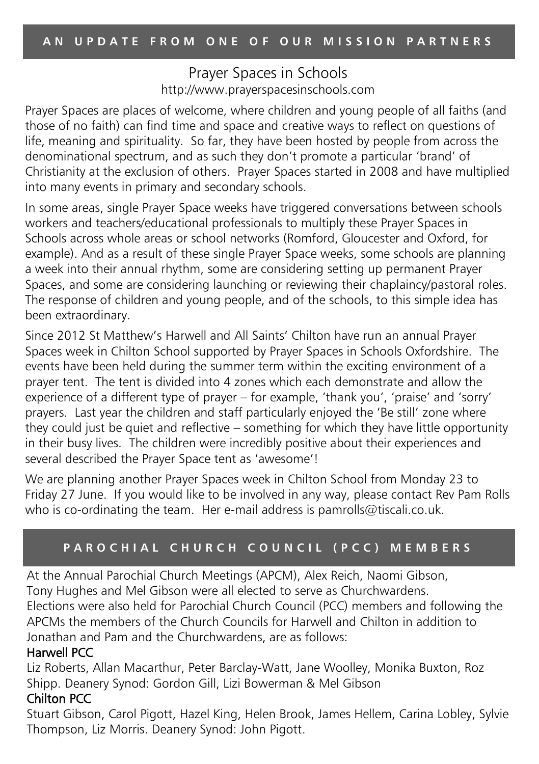#### Prayer Spaces in Schools http://www.prayerspacesinschools.com

Prayer Spaces are places of welcome, where children and young people of all faiths (and those of no faith) can find time and space and creative ways to reflect on questions of life, meaning and spirituality. So far, they have been hosted by people from across the denominational spectrum, and as such they don't promote a particular 'brand' of Christianity at the exclusion of others. Prayer Spaces started in 2008 and have multiplied into many events in primary and secondary schools.

In some areas, single Prayer Space weeks have triggered conversations between schools workers and teachers/educational professionals to multiply these Prayer Spaces in Schools across whole areas or school networks (Romford, Gloucester and Oxford, for example). And as a result of these single Prayer Space weeks, some schools are planning a week into their annual rhythm, some are considering setting up permanent Prayer Spaces, and some are considering launching or reviewing their chaplaincy/pastoral roles. The response of children and young people, and of the schools, to this simple idea has been extraordinary.

Since 2012 St Matthew's Harwell and All Saints' Chilton have run an annual Prayer Spaces week in Chilton School supported by Prayer Spaces in Schools Oxfordshire. The events have been held during the summer term within the exciting environment of a prayer tent. The tent is divided into 4 zones which each demonstrate and allow the experience of a different type of prayer – for example, 'thank you', 'praise' and 'sorry' prayers. Last year the children and staff particularly enjoyed the 'Be still' zone where they could just be quiet and reflective – something for which they have little opportunity in their busy lives. The children were incredibly positive about their experiences and several described the Prayer Space tent as 'awesome'!

We are planning another Prayer Spaces week in Chilton School from Monday 23 to Friday 27 June. If you would like to be involved in any way, please contact Rev Pam Rolls who is co-ordinating the team. Her e-mail address is pamrolls@tiscali.co.uk.

# **P A R O C H I A L C H U R C H C O U N C I L ( P C C ) M E M B E R S**

At the Annual Parochial Church Meetings (APCM), Alex Reich, Naomi Gibson, Tony Hughes and Mel Gibson were all elected to serve as Churchwardens. Elections were also held for Parochial Church Council (PCC) members and following the APCMs the members of the Church Councils for Harwell and Chilton in addition to Jonathan and Pam and the Churchwardens, are as follows:

#### Harwell PCC

Liz Roberts, Allan Macarthur, Peter Barclay-Watt, Jane Woolley, Monika Buxton, Roz Shipp. Deanery Synod: Gordon Gill, Lizi Bowerman & Mel Gibson

#### Chilton PCC

Stuart Gibson, Carol Pigott, Hazel King, Helen Brook, James Hellem, Carina Lobley, Sylvie Thompson, Liz Morris. Deanery Synod: John Pigott.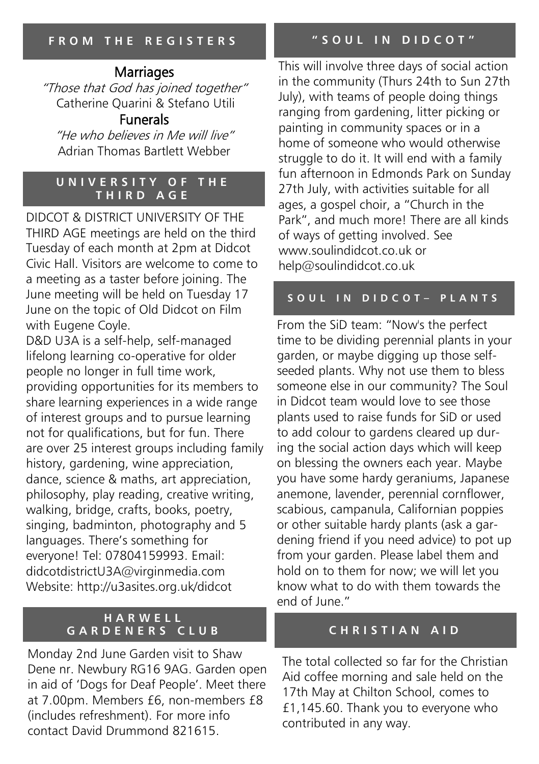# Marriages

"Those that God has joined together" Catherine Quarini & Stefano Utili

# Funerals

"He who believes in Me will live" Adrian Thomas Bartlett Webber

#### **U N I V E R S I T Y O F T H E T H I R D A G E**

DIDCOT & DISTRICT UNIVERSITY OF THE THIRD AGE meetings are held on the third Tuesday of each month at 2pm at Didcot Civic Hall. Visitors are welcome to come to a meeting as a taster before joining. The June meeting will be held on Tuesday 17 June on the topic of Old Didcot on Film with Eugene Coyle.

D&D U3A is a self-help, self-managed lifelong learning co-operative for older people no longer in full time work, providing opportunities for its members to share learning experiences in a wide range of interest groups and to pursue learning not for qualifications, but for fun. There are over 25 interest groups including family history, gardening, wine appreciation, dance, science & maths, art appreciation, philosophy, play reading, creative writing, walking, bridge, crafts, books, poetry, singing, badminton, photography and 5 languages. There's something for everyone! Tel: 07804159993. Email: didcotdistrictU3A@virginmedia.com Website: http://u3asites.org.uk/didcot

#### **H A R W E L L G A R D E N E R S C L U B**

Monday 2nd June Garden visit to Shaw Dene nr. Newbury RG16 9AG. Garden open in aid of 'Dogs for Deaf People'. Meet there at 7.00pm. Members £6, non-members £8 (includes refreshment). For more info contact David Drummond 821615.

This will involve three days of social action in the community (Thurs 24th to Sun 27th July), with teams of people doing things ranging from gardening, litter picking or painting in community spaces or in a home of someone who would otherwise struggle to do it. It will end with a family fun afternoon in Edmonds Park on Sunday 27th July, with activities suitable for all ages, a gospel choir, a "Church in the Park", and much more! There are all kinds of ways of getting involved. See www.soulindidcot.co.uk or help@soulindidcot.co.uk

#### **S O U L I N D I D C O T – P L A N T S**

From the SiD team: "Now's the perfect time to be dividing perennial plants in your garden, or maybe digging up those selfseeded plants. Why not use them to bless someone else in our community? The Soul in Didcot team would love to see those plants used to raise funds for SiD or used to add colour to gardens cleared up during the social action days which will keep on blessing the owners each year. Maybe you have some hardy geraniums, Japanese anemone, lavender, perennial cornflower, scabious, campanula, Californian poppies or other suitable hardy plants (ask a gardening friend if you need advice) to pot up from your garden. Please label them and hold on to them for now; we will let you know what to do with them towards the end of June."

#### **C H R I S T I A N A I D**

The total collected so far for the Christian Aid coffee morning and sale held on the 17th May at Chilton School, comes to £1,145.60. Thank you to everyone who contributed in any way.